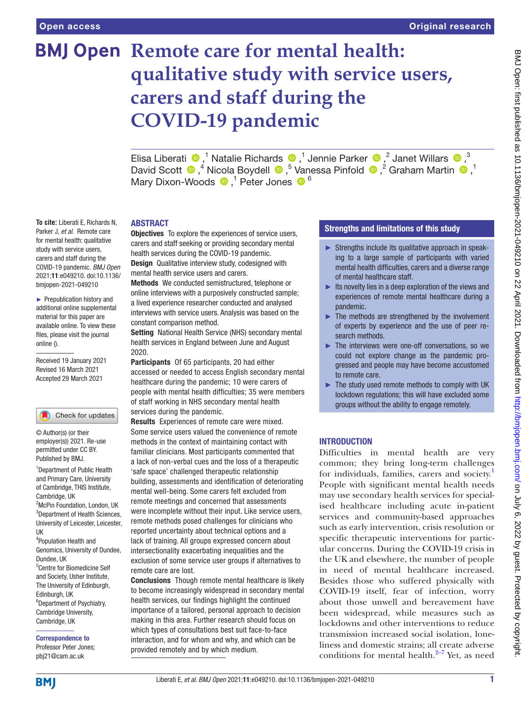**To cite:** Liberati E, Richards N, Parker J, *et al*. Remote care for mental health: qualitative study with service users, carers and staff during the COVID-19 pandemic. *BMJ Open* 2021;11:e049210. doi:10.1136/ bmjopen-2021-049210 ► Prepublication history and additional online supplemental material for this paper are available online. To view these files, please visit the journal

online ().

Received 19 January 2021 Revised 16 March 2021 Accepted 29 March 2021

1 Department of Public Health and Primary Care, University of Cambridge, THIS Institute,

Check for updates

<sup>2</sup>McPin Foundation, London, UK <sup>3</sup>Department of Health Sciences, University of Leicester, Leicester,

4 Population Health and Genomics, University of Dundee,

5 Centre for Biomedicine Self and Society, Usher Institute, The University of Edinburgh,

6 Department of Psychiatry, Cambridge University, Cambridge, UK

Correspondence to Professor Peter Jones; pbj21@cam.ac.uk

Cambridge, UK

© Author(s) (or their employer(s)) 2021. Re-use permitted under CC BY. Published by BMJ.

Dundee, UK

Edinburgh, UK

UK

# **BMJ Open Remote care for mental health: qualitative study with service users, carers and staff during the COVID-19 pandemic**

ElisaLiberati  $\bullet$ ,<sup>1</sup> Natalie Richards  $\bullet$ ,<sup>1</sup> Jennie Parker  $\bullet$ ,<sup>2</sup> Janet Willars  $\bullet$ ,<sup>3</sup> DavidScott <sup>1</sup>,<sup>4</sup> Nicola Boydell <sup>1</sup>,<sup>5</sup> Vanessa Pinfold <sup>1</sup>,<sup>2</sup> Graham Martin <sup>1</sup>,<sup>1</sup> MaryDixon-Woods  $\bullet$ ,<sup>1</sup> Peter Jones  $\bullet$ <sup>6</sup>

# ABSTRACT

**Objectives** To explore the experiences of service users, carers and staff seeking or providing secondary mental health services during the COVID-19 pandemic. **Design** Qualitative interview study, codesigned with mental health service users and carers.

Methods We conducted semistructured, telephone or online interviews with a purposively constructed sample; a lived experience researcher conducted and analysed interviews with service users. Analysis was based on the constant comparison method.

Setting National Health Service (NHS) secondary mental health services in England between June and August 2020.

Participants Of 65 participants, 20 had either accessed or needed to access English secondary mental healthcare during the pandemic; 10 were carers of people with mental health difficulties; 35 were members of staff working in NHS secondary mental health services during the pandemic.

Results Experiences of remote care were mixed. Some service users valued the convenience of remote methods in the context of maintaining contact with familiar clinicians. Most participants commented that a lack of non-verbal cues and the loss of a therapeutic 'safe space' challenged therapeutic relationship building, assessments and identification of deteriorating mental well-being. Some carers felt excluded from remote meetings and concerned that assessments were incomplete without their input. Like service users, remote methods posed challenges for clinicians who reported uncertainty about technical options and a lack of training. All groups expressed concern about intersectionality exacerbating inequalities and the exclusion of some service user groups if alternatives to remote care are lost.

Conclusions Though remote mental healthcare is likely to become increasingly widespread in secondary mental health services, our findings highlight the continued importance of a tailored, personal approach to decision making in this area. Further research should focus on which types of consultations best suit face-to-face interaction, and for whom and why, and which can be provided remotely and by which medium.

# Strengths and limitations of this study

- ► Strengths include its qualitative approach in speaking to a large sample of participants with varied mental health difficulties, carers and a diverse range of mental healthcare staff.
- $\blacktriangleright$  Its novelty lies in a deep exploration of the views and experiences of remote mental healthcare during a pandemic.
- $\blacktriangleright$  The methods are strengthened by the involvement of experts by experience and the use of peer research methods.
- ► The interviews were one-off conversations, so we could not explore change as the pandemic progressed and people may have become accustomed to remote care.
- ► The study used remote methods to comply with UK lockdown regulations; this will have excluded some groups without the ability to engage remotely.

# INTRODUCTION

Difficulties in mental health are very common; they bring long-term challenges for individuals, families, carers and society.<sup>[1](#page-10-0)</sup> People with significant mental health needs may use secondary health services for specialised healthcare including acute in-patient services and community-based approaches such as early intervention, crisis resolution or specific therapeutic interventions for particular concerns. During the COVID-19 crisis in the UK and elsewhere, the number of people in need of mental healthcare increased. Besides those who suffered physically with COVID-19 itself, fear of infection, worry about those unwell and bereavement have been widespread, while measures such as lockdowns and other interventions to reduce transmission increased social isolation, loneliness and domestic strains; all create adverse conditions for mental health. $2-7$  Yet, as need

**BMI**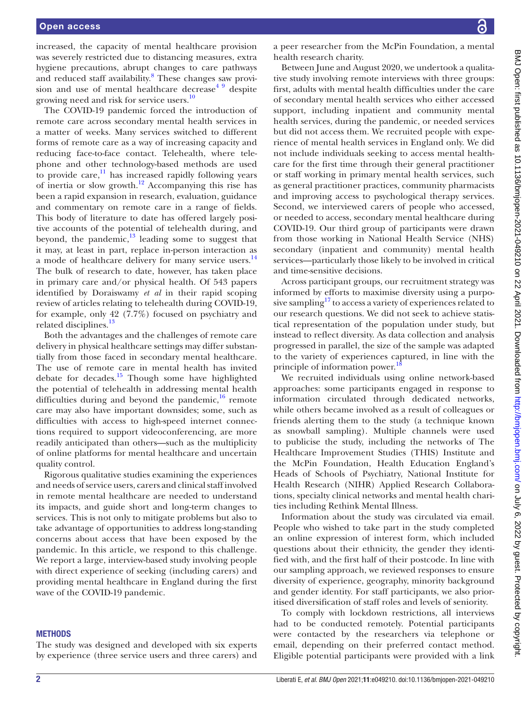increased, the capacity of mental healthcare provision was severely restricted due to distancing measures, extra hygiene precautions, abrupt changes to care pathways and reduced staff availability.<sup>8</sup> These changes saw provision and use of mental healthcare decrease $49$  despite growing need and risk for service users.<sup>10</sup>

The COVID-19 pandemic forced the introduction of remote care across secondary mental health services in a matter of weeks. Many services switched to different forms of remote care as a way of increasing capacity and reducing face-to-face contact. Telehealth, where telephone and other technology-based methods are used to provide care, $\frac{11}{11}$  has increased rapidly following years of inertia or slow growth.<sup>12</sup> Accompanying this rise has been a rapid expansion in research, evaluation, guidance and commentary on remote care in a range of fields. This body of literature to date has offered largely positive accounts of the potential of telehealth during, and beyond, the pandemic, $^{13}$  leading some to suggest that it may, at least in part, replace in-person interaction as a mode of healthcare delivery for many service users.<sup>14</sup> The bulk of research to date, however, has taken place in primary care and/or physical health. Of 543 papers identified by Doraiswamy *et al* in their rapid scoping review of articles relating to telehealth during COVID-19, for example, only 42 (7.7%) focused on psychiatry and related disciplines.<sup>[13](#page-10-7)</sup>

Both the advantages and the challenges of remote care delivery in physical healthcare settings may differ substantially from those faced in secondary mental healthcare. The use of remote care in mental health has invited debate for decades.<sup>15</sup> Though some have highlighted the potential of telehealth in addressing mental health difficulties during and beyond the pandemic, $16$  remote care may also have important downsides; some, such as difficulties with access to high-speed internet connections required to support videoconferencing, are more readily anticipated than others—such as the multiplicity of online platforms for mental healthcare and uncertain quality control.

Rigorous qualitative studies examining the experiences and needs of service users, carers and clinical staff involved in remote mental healthcare are needed to understand its impacts, and guide short and long-term changes to services. This is not only to mitigate problems but also to take advantage of opportunities to address long-standing concerns about access that have been exposed by the pandemic. In this article, we respond to this challenge. We report a large, interview-based study involving people with direct experience of seeking (including carers) and providing mental healthcare in England during the first wave of the COVID-19 pandemic.

#### **METHODS**

The study was designed and developed with six experts by experience (three service users and three carers) and

a peer researcher from the McPin Foundation, a mental health research charity.

Between June and August 2020, we undertook a qualitative study involving remote interviews with three groups: first, adults with mental health difficulties under the care of secondary mental health services who either accessed support, including inpatient and community mental health services, during the pandemic, or needed services but did not access them. We recruited people with experience of mental health services in England only. We did not include individuals seeking to access mental healthcare for the first time through their general practitioner or staff working in primary mental health services, such as general practitioner practices, community pharmacists and improving access to psychological therapy services. Second, we interviewed carers of people who accessed, or needed to access, secondary mental healthcare during COVID-19. Our third group of participants were drawn from those working in National Health Service (NHS) secondary (inpatient and community) mental health services—particularly those likely to be involved in critical and time-sensitive decisions.

Across participant groups, our recruitment strategy was informed by efforts to maximise diversity using a purposive sampling<sup>17</sup> to access a variety of experiences related to our research questions. We did not seek to achieve statistical representation of the population under study, but instead to reflect diversity. As data collection and analysis progressed in parallel, the size of the sample was adapted to the variety of experiences captured, in line with the principle of information power.<sup>1</sup>

We recruited individuals using online network-based approaches: some participants engaged in response to information circulated through dedicated networks, while others became involved as a result of colleagues or friends alerting them to the study (a technique known as snowball sampling). Multiple channels were used to publicise the study, including the networks of The Healthcare Improvement Studies (THIS) Institute and the McPin Foundation, Health Education England's Heads of Schools of Psychiatry, National Institute for Health Research (NIHR) Applied Research Collaborations, specialty clinical networks and mental health charities including Rethink Mental Illness.

Information about the study was circulated via email. People who wished to take part in the study completed an online expression of interest form, which included questions about their ethnicity, the gender they identified with, and the first half of their postcode. In line with our sampling approach, we reviewed responses to ensure diversity of experience, geography, minority background and gender identity. For staff participants, we also prioritised diversification of staff roles and levels of seniority.

To comply with lockdown restrictions, all interviews had to be conducted remotely. Potential participants were contacted by the researchers via telephone or email, depending on their preferred contact method. Eligible potential participants were provided with a link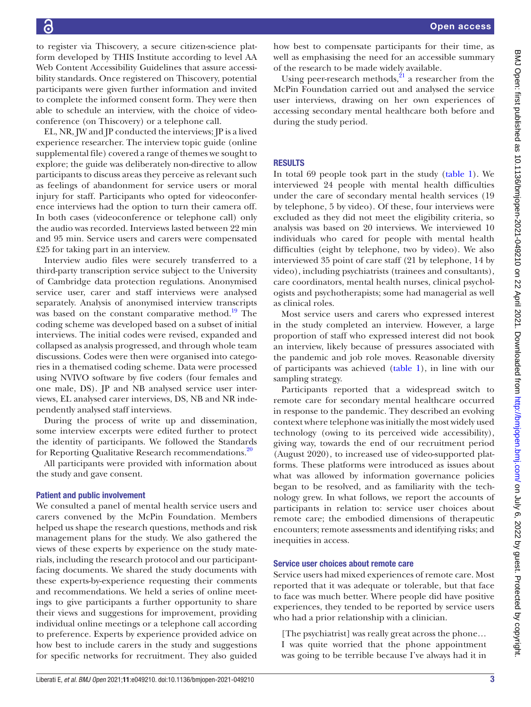to register via Thiscovery, a secure citizen-science platform developed by THIS Institute according to level AA Web Content Accessibility Guidelines that assure accessibility standards. Once registered on Thiscovery, potential participants were given further information and invited to complete the informed consent form. They were then able to schedule an interview, with the choice of videoconference (on Thiscovery) or a telephone call.

EL, NR, JW and JP conducted the interviews; JP is a lived experience researcher. The interview topic guide [\(online](https://dx.doi.org/10.1136/bmjopen-2021-049210) [supplemental file](https://dx.doi.org/10.1136/bmjopen-2021-049210)) covered a range of themes we sought to explore; the guide was deliberately non-directive to allow participants to discuss areas they perceive as relevant such as feelings of abandonment for service users or moral injury for staff. Participants who opted for videoconference interviews had the option to turn their camera off. In both cases (videoconference or telephone call) only the audio was recorded. Interviews lasted between 22 min and 95 min. Service users and carers were compensated £25 for taking part in an interview.

Interview audio files were securely transferred to a third-party transcription service subject to the University of Cambridge data protection regulations. Anonymised service user, carer and staff interviews were analysed separately. Analysis of anonymised interview transcripts was based on the constant comparative method.<sup>19</sup> The coding scheme was developed based on a subset of initial interviews. The initial codes were revised, expanded and collapsed as analysis progressed, and through whole team discussions. Codes were then were organised into categories in a thematised coding scheme. Data were processed using NVIVO software by five coders (four females and one male, DS). JP and NB analysed service user interviews, EL analysed carer interviews, DS, NB and NR independently analysed staff interviews.

During the process of write up and dissemination, some interview excerpts were edited further to protect the identity of participants. We followed the Standards for Reporting Qualitative Research recommendations.<sup>[20](#page-10-14)</sup>

All participants were provided with information about the study and gave consent.

### Patient and public involvement

We consulted a panel of mental health service users and carers convened by the McPin Foundation. Members helped us shape the research questions, methods and risk management plans for the study. We also gathered the views of these experts by experience on the study materials, including the research protocol and our participantfacing documents. We shared the study documents with these experts-by-experience requesting their comments and recommendations. We held a series of online meetings to give participants a further opportunity to share their views and suggestions for improvement, providing individual online meetings or a telephone call according to preference. Experts by experience provided advice on how best to include carers in the study and suggestions for specific networks for recruitment. They also guided how best to compensate participants for their time, as well as emphasising the need for an accessible summary of the research to be made widely available.

Using peer-research methods, $^{21}$  $^{21}$  $^{21}$  a researcher from the McPin Foundation carried out and analysed the service user interviews, drawing on her own experiences of accessing secondary mental healthcare both before and during the study period.

# **RESULTS**

In total 69 people took part in the study ([table](#page-3-0) 1). We interviewed 24 people with mental health difficulties under the care of secondary mental health services (19 by telephone, 5 by video). Of these, four interviews were excluded as they did not meet the eligibility criteria, so analysis was based on 20 interviews. We interviewed 10 individuals who cared for people with mental health difficulties (eight by telephone, two by video). We also interviewed 35 point of care staff (21 by telephone, 14 by video), including psychiatrists (trainees and consultants), care coordinators, mental health nurses, clinical psychologists and psychotherapists; some had managerial as well as clinical roles.

Most service users and carers who expressed interest in the study completed an interview. However, a large proportion of staff who expressed interest did not book an interview, likely because of pressures associated with the pandemic and job role moves. Reasonable diversity of participants was achieved [\(table](#page-3-0) 1), in line with our sampling strategy.

Participants reported that a widespread switch to remote care for secondary mental healthcare occurred in response to the pandemic. They described an evolving context where telephone was initially the most widely used technology (owing to its perceived wide accessibility), giving way, towards the end of our recruitment period (August 2020), to increased use of video-supported platforms. These platforms were introduced as issues about what was allowed by information governance policies began to be resolved, and as familiarity with the technology grew. In what follows, we report the accounts of participants in relation to: service user choices about remote care; the embodied dimensions of therapeutic encounters; remote assessments and identifying risks; and inequities in access.

#### Service user choices about remote care

Service users had mixed experiences of remote care. Most reported that it was adequate or tolerable, but that face to face was much better. Where people did have positive experiences, they tended to be reported by service users who had a prior relationship with a clinician.

[The psychiatrist] was really great across the phone… I was quite worried that the phone appointment was going to be terrible because I've always had it in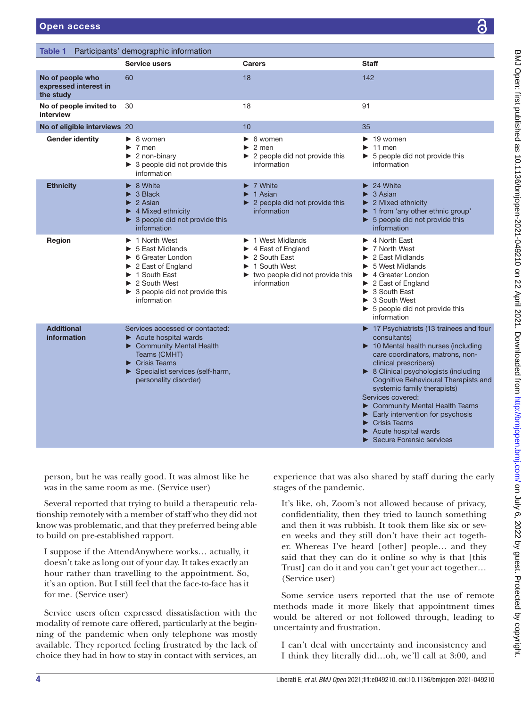<span id="page-3-0"></span>Table 1 Participants' demographic information

|                                                        | Service users                                                                                                                                                                                                              | <b>Carers</b>                                                                                                                                                                                                  | <b>Staff</b>                                                                                                                                                                                                                                                                                                                                                                                                                                                                          |
|--------------------------------------------------------|----------------------------------------------------------------------------------------------------------------------------------------------------------------------------------------------------------------------------|----------------------------------------------------------------------------------------------------------------------------------------------------------------------------------------------------------------|---------------------------------------------------------------------------------------------------------------------------------------------------------------------------------------------------------------------------------------------------------------------------------------------------------------------------------------------------------------------------------------------------------------------------------------------------------------------------------------|
| No of people who<br>expressed interest in<br>the study | 60                                                                                                                                                                                                                         | 18                                                                                                                                                                                                             | 142                                                                                                                                                                                                                                                                                                                                                                                                                                                                                   |
| No of people invited to<br>interview                   | 30                                                                                                                                                                                                                         | 18                                                                                                                                                                                                             | 91                                                                                                                                                                                                                                                                                                                                                                                                                                                                                    |
| No of eligible interviews 20                           |                                                                                                                                                                                                                            | 10                                                                                                                                                                                                             | 35                                                                                                                                                                                                                                                                                                                                                                                                                                                                                    |
| <b>Gender identity</b>                                 | $\triangleright$ 8 women<br>$\blacktriangleright$ 7 men<br>$\triangleright$ 2 non-binary<br>$\triangleright$ 3 people did not provide this<br>information                                                                  | $\triangleright$ 6 women<br>$\triangleright$ 2 men<br>$\triangleright$ 2 people did not provide this<br>information                                                                                            | $\blacktriangleright$ 19 women<br>11 men<br>$\triangleright$ 5 people did not provide this<br>information                                                                                                                                                                                                                                                                                                                                                                             |
| <b>Ethnicity</b>                                       | $\triangleright$ 8 White<br>$\triangleright$ 3 Black<br>$\blacktriangleright$ 2 Asian<br>$\blacktriangleright$ 4 Mixed ethnicity<br>$\triangleright$ 3 people did not provide this<br>information                          | $\triangleright$ 7 White<br>$\blacktriangleright$ 1 Asian<br>$\triangleright$ 2 people did not provide this<br>information                                                                                     | 24 White<br>$\blacktriangleright$<br>3 Asian<br>▶<br>$\blacktriangleright$ 2 Mixed ethnicity<br>1 from 'any other ethnic group'<br>$\triangleright$ 5 people did not provide this<br>information                                                                                                                                                                                                                                                                                      |
| Region                                                 | 1 North West<br>5 East Midlands<br>▶ 6 Greater London<br>$\triangleright$ 2 East of England<br>1 South East<br>$\triangleright$ 2 South West<br>$\triangleright$ 3 people did not provide this<br>information              | $\blacktriangleright$ 1 West Midlands<br>$\blacktriangleright$ 4 East of England<br>$\blacktriangleright$ 2 South East<br>1 South West<br>$\blacktriangleright$ two people did not provide this<br>information | $\blacktriangleright$ 4 North East<br>7 North West<br>2 East Midlands<br>5 West Midlands<br>$\blacktriangleright$ 4 Greater London<br>$\triangleright$ 2 East of England<br>$\triangleright$ 3 South East<br>▶ 3 South West<br>$\triangleright$ 5 people did not provide this<br>information                                                                                                                                                                                          |
| <b>Additional</b><br>information                       | Services accessed or contacted:<br>$\blacktriangleright$ Acute hospital wards<br>Community Mental Health<br>Teams (CMHT)<br>$\blacktriangleright$ Crisis Teams<br>Specialist services (self-harm,<br>personality disorder) |                                                                                                                                                                                                                | $\triangleright$ 17 Psychiatrists (13 trainees and four<br>consultants)<br>10 Mental health nurses (including<br>care coordinators, matrons, non-<br>clinical prescribers)<br>▶ 8 Clinical psychologists (including<br>Cognitive Behavioural Therapists and<br>systemic family therapists)<br>Services covered:<br>Community Mental Health Teams<br>$\blacktriangleright$ Early intervention for psychosis<br><b>Crisis Teams</b><br>Acute hospital wards<br>Secure Forensic services |

person, but he was really good. It was almost like he was in the same room as me. (Service user)

Several reported that trying to build a therapeutic relationship remotely with a member of staff who they did not know was problematic, and that they preferred being able to build on pre-established rapport.

I suppose if the AttendAnywhere works… actually, it doesn't take as long out of your day. It takes exactly an hour rather than travelling to the appointment. So, it's an option. But I still feel that the face-to-face has it for me. (Service user)

Service users often expressed dissatisfaction with the modality of remote care offered, particularly at the beginning of the pandemic when only telephone was mostly available. They reported feeling frustrated by the lack of choice they had in how to stay in contact with services, an

experience that was also shared by staff during the early stages of the pandemic.

It's like, oh, Zoom's not allowed because of privacy, confidentiality, then they tried to launch something and then it was rubbish. It took them like six or seven weeks and they still don't have their act together. Whereas I've heard [other] people… and they said that they can do it online so why is that [this Trust] can do it and you can't get your act together… (Service user)

Some service users reported that the use of remote methods made it more likely that appointment times would be altered or not followed through, leading to uncertainty and frustration.

I can't deal with uncertainty and inconsistency and I think they literally did…oh, we'll call at 3:00, and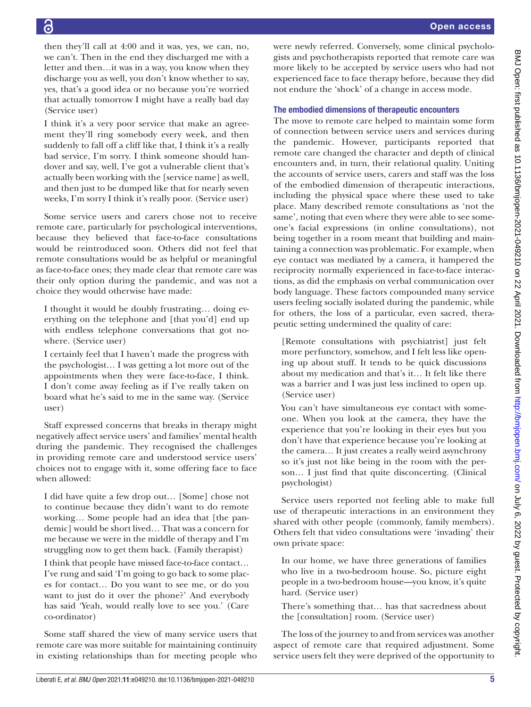then they'll call at 4:00 and it was, yes, we can, no, we can't. Then in the end they discharged me with a letter and then…it was in a way, you know when they discharge you as well, you don't know whether to say, yes, that's a good idea or no because you're worried that actually tomorrow I might have a really bad day (Service user)

I think it's a very poor service that make an agreement they'll ring somebody every week, and then suddenly to fall off a cliff like that, I think it's a really bad service, I'm sorry. I think someone should handover and say, well, I've got a vulnerable client that's actually been working with the [service name] as well, and then just to be dumped like that for nearly seven weeks, I'm sorry I think it's really poor. (Service user)

Some service users and carers chose not to receive remote care, particularly for psychological interventions, because they believed that face-to-face consultations would be reintroduced soon. Others did not feel that remote consultations would be as helpful or meaningful as face-to-face ones; they made clear that remote care was their only option during the pandemic, and was not a choice they would otherwise have made:

I thought it would be doubly frustrating… doing everything on the telephone and [that you'd] end up with endless telephone conversations that got nowhere. (Service user)

I certainly feel that I haven't made the progress with the psychologist… I was getting a lot more out of the appointments when they were face-to-face, I think. I don't come away feeling as if I've really taken on board what he's said to me in the same way. (Service user)

Staff expressed concerns that breaks in therapy might negatively affect service users' and families' mental health during the pandemic. They recognised the challenges in providing remote care and understood service users' choices not to engage with it, some offering face to face when allowed:

I did have quite a few drop out… [Some] chose not to continue because they didn't want to do remote working… Some people had an idea that [the pandemic] would be short lived… That was a concern for me because we were in the middle of therapy and I'm struggling now to get them back. (Family therapist)

I think that people have missed face-to-face contact… I've rung and said 'I'm going to go back to some places for contact… Do you want to see me, or do you want to just do it over the phone?' And everybody has said 'Yeah, would really love to see you.' (Care co-ordinator)

Some staff shared the view of many service users that remote care was more suitable for maintaining continuity in existing relationships than for meeting people who

were newly referred. Conversely, some clinical psychologists and psychotherapists reported that remote care was more likely to be accepted by service users who had not experienced face to face therapy before, because they did not endure the 'shock' of a change in access mode.

# The embodied dimensions of therapeutic encounters

The move to remote care helped to maintain some form of connection between service users and services during the pandemic. However, participants reported that remote care changed the character and depth of clinical encounters and, in turn, their relational quality. Uniting the accounts of service users, carers and staff was the loss of the embodied dimension of therapeutic interactions, including the physical space where these used to take place. Many described remote consultations as 'not the same', noting that even where they were able to see someone's facial expressions (in online consultations), not being together in a room meant that building and maintaining a connection was problematic. For example, when eye contact was mediated by a camera, it hampered the reciprocity normally experienced in face-to-face interactions, as did the emphasis on verbal communication over body language. These factors compounded many service users feeling socially isolated during the pandemic, while for others, the loss of a particular, even sacred, therapeutic setting undermined the quality of care:

[Remote consultations with psychiatrist] just felt more perfunctory, somehow, and I felt less like opening up about stuff. It tends to be quick discussions about my medication and that's it… It felt like there was a barrier and I was just less inclined to open up. (Service user)

You can't have simultaneous eye contact with someone. When you look at the camera, they have the experience that you're looking in their eyes but you don't have that experience because you're looking at the camera… It just creates a really weird asynchrony so it's just not like being in the room with the person... I just find that quite disconcerting. (Clinical psychologist)

Service users reported not feeling able to make full use of therapeutic interactions in an environment they shared with other people (commonly, family members). Others felt that video consultations were 'invading' their own private space:

In our home, we have three generations of families who live in a two-bedroom house. So, picture eight people in a two-bedroom house—you know, it's quite hard. (Service user)

There's something that… has that sacredness about the [consultation] room. (Service user)

The loss of the journey to and from services was another aspect of remote care that required adjustment. Some service users felt they were deprived of the opportunity to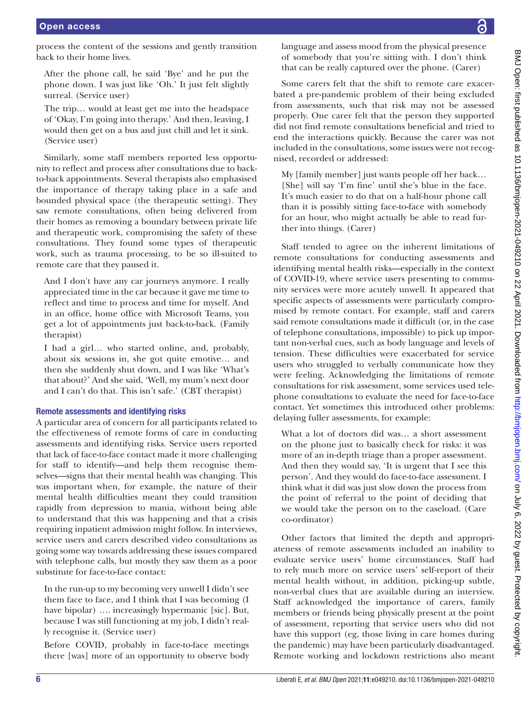process the content of the sessions and gently transition back to their home lives.

After the phone call, he said 'Bye' and he put the phone down. I was just like 'Oh.' It just felt slightly surreal. (Service user)

The trip… would at least get me into the headspace of 'Okay, I'm going into therapy.' And then, leaving, I would then get on a bus and just chill and let it sink. (Service user)

Similarly, some staff members reported less opportunity to reflect and process after consultations due to backto-back appointments. Several therapists also emphasised the importance of therapy taking place in a safe and bounded physical space (the therapeutic setting). They saw remote consultations, often being delivered from their homes as removing a boundary between private life and therapeutic work, compromising the safety of these consultations. They found some types of therapeutic work, such as trauma processing, to be so ill-suited to remote care that they paused it.

And I don't have any car journeys anymore. I really appreciated time in the car because it gave me time to reflect and time to process and time for myself. And in an office, home office with Microsoft Teams, you get a lot of appointments just back-to-back. (Family therapist)

I had a girl… who started online, and, probably, about six sessions in, she got quite emotive… and then she suddenly shut down, and I was like 'What's that about?' And she said, 'Well, my mum's next door and I can't do that. This isn't safe.' (CBT therapist)

# Remote assessments and identifying risks

A particular area of concern for all participants related to the effectiveness of remote forms of care in conducting assessments and identifying risks. Service users reported that lack of face-to-face contact made it more challenging for staff to identify—and help them recognise themselves—signs that their mental health was changing. This was important when, for example, the nature of their mental health difficulties meant they could transition rapidly from depression to mania, without being able to understand that this was happening and that a crisis requiring inpatient admission might follow. In interviews, service users and carers described video consultations as going some way towards addressing these issues compared with telephone calls, but mostly they saw them as a poor substitute for face-to-face contact:

In the run-up to my becoming very unwell I didn't see them face to face, and I think that I was becoming (I have bipolar) .... increasingly hypermanic [sic]. But, because I was still functioning at my job, I didn't really recognise it. (Service user)

Before COVID, probably in face-to-face meetings there [was] more of an opportunity to observe body language and assess mood from the physical presence of somebody that you're sitting with. I don't think that can be really captured over the phone. (Carer)

Some carers felt that the shift to remote care exacerbated a pre-pandemic problem of their being excluded from assessments, such that risk may not be assessed properly. One carer felt that the person they supported did not find remote consultations beneficial and tried to end the interactions quickly. Because the carer was not included in the consultations, some issues were not recognised, recorded or addressed:

My [family member] just wants people off her back… [She] will say 'I'm fine' until she's blue in the face. It's much easier to do that on a half-hour phone call than it is possibly sitting face-to-face with somebody for an hour, who might actually be able to read further into things. (Carer)

Staff tended to agree on the inherent limitations of remote consultations for conducting assessments and identifying mental health risks—especially in the context of COVID-19, where service users presenting to community services were more acutely unwell. It appeared that specific aspects of assessments were particularly compromised by remote contact. For example, staff and carers said remote consultations made it difficult (or, in the case of telephone consultations, impossible) to pick up important non-verbal cues, such as body language and levels of tension. These difficulties were exacerbated for service users who struggled to verbally communicate how they were feeling. Acknowledging the limitations of remote consultations for risk assessment, some services used telephone consultations to evaluate the need for face-to-face contact. Yet sometimes this introduced other problems: delaying fuller assessments, for example:

What a lot of doctors did was… a short assessment on the phone just to basically check for risks: it was more of an in-depth triage than a proper assessment. And then they would say, 'It is urgent that I see this person'. And they would do face-to-face assessment. I think what it did was just slow down the process from the point of referral to the point of deciding that we would take the person on to the caseload. (Care co-ordinator)

Other factors that limited the depth and appropriateness of remote assessments included an inability to evaluate service users' home circumstances. Staff had to rely much more on service users' self-report of their mental health without, in addition, picking-up subtle, non-verbal clues that are available during an interview. Staff acknowledged the importance of carers, family members or friends being physically present at the point of assessment, reporting that service users who did not have this support (eg, those living in care homes during the pandemic) may have been particularly disadvantaged. Remote working and lockdown restrictions also meant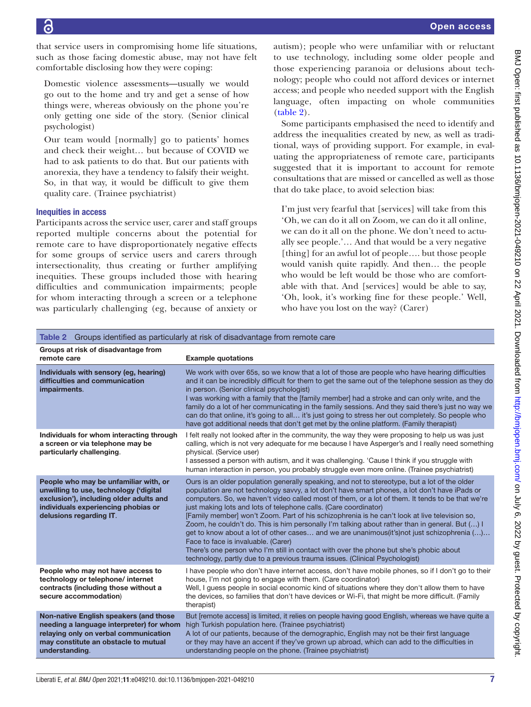that service users in compromising home life situations, such as those facing domestic abuse, may not have felt comfortable disclosing how they were coping:

Domestic violence assessments—usually we would go out to the home and try and get a sense of how things were, whereas obviously on the phone you're only getting one side of the story. (Senior clinical psychologist)

Our team would [normally] go to patients' homes and check their weight… but because of COVID we had to ask patients to do that. But our patients with anorexia, they have a tendency to falsify their weight. So, in that way, it would be difficult to give them quality care. (Trainee psychiatrist)

# Inequities in access

Participants across the service user, carer and staff groups reported multiple concerns about the potential for remote care to have disproportionately negative effects for some groups of service users and carers through intersectionality, thus creating or further amplifying inequities. These groups included those with hearing difficulties and communication impairments; people for whom interacting through a screen or a telephone was particularly challenging (eg, because of anxiety or

autism); people who were unfamiliar with or reluctant to use technology, including some older people and those experiencing paranoia or delusions about technology; people who could not afford devices or internet access; and people who needed support with the English language, often impacting on whole communities [\(table](#page-6-0) 2).

Some participants emphasised the need to identify and address the inequalities created by new, as well as traditional, ways of providing support. For example, in evaluating the appropriateness of remote care, participants suggested that it is important to account for remote consultations that are missed or cancelled as well as those that do take place, to avoid selection bias:

I'm just very fearful that [services] will take from this 'Oh, we can do it all on Zoom, we can do it all online, we can do it all on the phone. We don't need to actually see people.'… And that would be a very negative [thing] for an awful lot of people…. but those people would vanish quite rapidly. And then… the people who would be left would be those who are comfortable with that. And [services] would be able to say, 'Oh, look, it's working fine for these people.' Well, who have you lost on the way? (Carer)

<span id="page-6-0"></span>

| Table 2 Groups identified as particularly at risk of disadvantage from remote care                                                                                                           |                                                                                                                                                                                                                                                                                                                                                                                                                                                                                                                                                                                                                                                                                                                                                                                                                                                                                          |  |
|----------------------------------------------------------------------------------------------------------------------------------------------------------------------------------------------|------------------------------------------------------------------------------------------------------------------------------------------------------------------------------------------------------------------------------------------------------------------------------------------------------------------------------------------------------------------------------------------------------------------------------------------------------------------------------------------------------------------------------------------------------------------------------------------------------------------------------------------------------------------------------------------------------------------------------------------------------------------------------------------------------------------------------------------------------------------------------------------|--|
| Groups at risk of disadvantage from<br>remote care                                                                                                                                           | <b>Example quotations</b>                                                                                                                                                                                                                                                                                                                                                                                                                                                                                                                                                                                                                                                                                                                                                                                                                                                                |  |
| Individuals with sensory (eg, hearing)<br>difficulties and communication<br>impairments.                                                                                                     | We work with over 65s, so we know that a lot of those are people who have hearing difficulties<br>and it can be incredibly difficult for them to get the same out of the telephone session as they do<br>in person. (Senior clinical psychologist)<br>I was working with a family that the [family member] had a stroke and can only write, and the<br>family do a lot of her communicating in the family sessions. And they said there's just no way we<br>can do that online, it's going to all it's just going to stress her out completely. So people who<br>have got additional needs that don't get met by the online platform. (Family therapist)                                                                                                                                                                                                                                 |  |
| Individuals for whom interacting through<br>a screen or via telephone may be<br>particularly challenging.                                                                                    | I felt really not looked after in the community, the way they were proposing to help us was just<br>calling, which is not very adequate for me because I have Asperger's and I really need something<br>physical. (Service user)<br>I assessed a person with autism, and it was challenging. 'Cause I think if you struggle with<br>human interaction in person, you probably struggle even more online. (Trainee psychiatrist)                                                                                                                                                                                                                                                                                                                                                                                                                                                          |  |
| People who may be unfamiliar with, or<br>unwilling to use, technology ('digital<br>exclusion'), including older adults and<br>individuals experiencing phobias or<br>delusions regarding IT. | Ours is an older population generally speaking, and not to stereotype, but a lot of the older<br>population are not technology savvy, a lot don't have smart phones, a lot don't have iPads or<br>computers. So, we haven't video called most of them, or a lot of them. It tends to be that we're<br>just making lots and lots of telephone calls. (Care coordinator)<br>[Family member] won't Zoom. Part of his schizophrenia is he can't look at live television so,<br>Zoom, he couldn't do. This is him personally I'm talking about rather than in general. But () I<br>get to know about a lot of other cases and we are unanimous(it's)not just schizophrenia ()<br>Face to face is invaluable. (Carer)<br>There's one person who I'm still in contact with over the phone but she's phobic about<br>technology, partly due to a previous trauma issues. (Clinical Psychologist) |  |
| People who may not have access to<br>technology or telephone/ internet<br>contracts (including those without a<br>secure accommodation)                                                      | I have people who don't have internet access, don't have mobile phones, so if I don't go to their<br>house, I'm not going to engage with them. (Care coordinator)<br>Well, I quess people in social economic kind of situations where they don't allow them to have<br>the devices, so families that don't have devices or Wi-Fi, that might be more difficult. (Family<br>therapist)                                                                                                                                                                                                                                                                                                                                                                                                                                                                                                    |  |
| Non-native English speakers (and those<br>needing a language interpreter) for whom<br>relaying only on verbal communication<br>may constitute an obstacle to mutual<br>understanding.        | But [remote access] is limited, it relies on people having good English, whereas we have quite a<br>high Turkish population here. (Trainee psychiatrist)<br>A lot of our patients, because of the demographic, English may not be their first language<br>or they may have an accent if they've grown up abroad, which can add to the difficulties in<br>understanding people on the phone. (Trainee psychiatrist)                                                                                                                                                                                                                                                                                                                                                                                                                                                                       |  |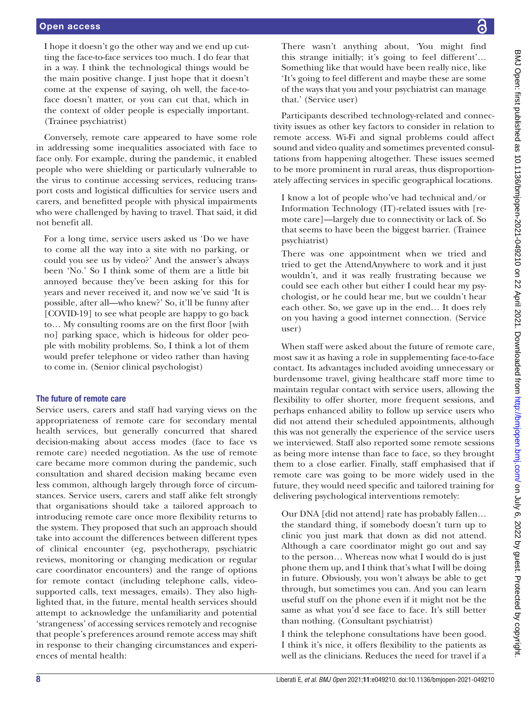I hope it doesn't go the other way and we end up cutting the face-to-face services too much. I do fear that in a way. I think the technological things would be the main positive change. I just hope that it doesn't come at the expense of saying, oh well, the face-toface doesn't matter, or you can cut that, which in the context of older people is especially important. (Trainee psychiatrist)

Conversely, remote care appeared to have some role in addressing some inequalities associated with face to face only. For example, during the pandemic, it enabled people who were shielding or particularly vulnerable to the virus to continue accessing services, reducing transport costs and logistical difficulties for service users and carers, and benefitted people with physical impairments who were challenged by having to travel. That said, it did not benefit all.

For a long time, service users asked us 'Do we have to come all the way into a site with no parking, or could you see us by video?' And the answer's always been 'No.' So I think some of them are a little bit annoyed because they've been asking for this for years and never received it, and now we've said 'It is possible, after all—who knew?' So, it'll be funny after [COVID-19] to see what people are happy to go back to… My consulting rooms are on the first floor [with no] parking space, which is hideous for older people with mobility problems. So, I think a lot of them would prefer telephone or video rather than having to come in. (Senior clinical psychologist)

### The future of remote care

Service users, carers and staff had varying views on the appropriateness of remote care for secondary mental health services, but generally concurred that shared decision-making about access modes (face to face vs remote care) needed negotiation. As the use of remote care became more common during the pandemic, such consultation and shared decision making became even less common, although largely through force of circumstances. Service users, carers and staff alike felt strongly that organisations should take a tailored approach to introducing remote care once more flexibility returns to the system. They proposed that such an approach should take into account the differences between different types of clinical encounter (eg, psychotherapy, psychiatric reviews, monitoring or changing medication or regular care coordinator encounters) and the range of options for remote contact (including telephone calls, videosupported calls, text messages, emails). They also highlighted that, in the future, mental health services should attempt to acknowledge the unfamiliarity and potential 'strangeness' of accessing services remotely and recognise that people's preferences around remote access may shift in response to their changing circumstances and experiences of mental health:

There wasn't anything about, 'You might find this strange initially; it's going to feel different'… Something like that would have been really nice, like 'It's going to feel different and maybe these are some of the ways that you and your psychiatrist can manage that.' (Service user)

Participants described technology-related and connectivity issues as other key factors to consider in relation to remote access. Wi-Fi and signal problems could affect sound and video quality and sometimes prevented consultations from happening altogether. These issues seemed to be more prominent in rural areas, thus disproportionately affecting services in specific geographical locations.

I know a lot of people who've had technical and/or Information Technology (IT)-related issues with [remote care]—largely due to connectivity or lack of. So that seems to have been the biggest barrier. (Trainee psychiatrist)

There was one appointment when we tried and tried to get the AttendAnywhere to work and it just wouldn't, and it was really frustrating because we could see each other but either I could hear my psychologist, or he could hear me, but we couldn't hear each other. So, we gave up in the end… It does rely on you having a good internet connection. (Service user)

When staff were asked about the future of remote care, most saw it as having a role in supplementing face-to-face contact. Its advantages included avoiding unnecessary or burdensome travel, giving healthcare staff more time to maintain regular contact with service users, allowing the flexibility to offer shorter, more frequent sessions, and perhaps enhanced ability to follow up service users who did not attend their scheduled appointments, although this was not generally the experience of the service users we interviewed. Staff also reported some remote sessions as being more intense than face to face, so they brought them to a close earlier. Finally, staff emphasised that if remote care was going to be more widely used in the future, they would need specific and tailored training for delivering psychological interventions remotely:

Our DNA [did not attend] rate has probably fallen… the standard thing, if somebody doesn't turn up to clinic you just mark that down as did not attend. Although a care coordinator might go out and say to the person… Whereas now what I would do is just phone them up, and I think that's what I will be doing in future. Obviously, you won't always be able to get through, but sometimes you can. And you can learn useful stuff on the phone even if it might not be the same as what you'd see face to face. It's still better than nothing. (Consultant psychiatrist)

I think the telephone consultations have been good. I think it's nice, it offers flexibility to the patients as well as the clinicians. Reduces the need for travel if a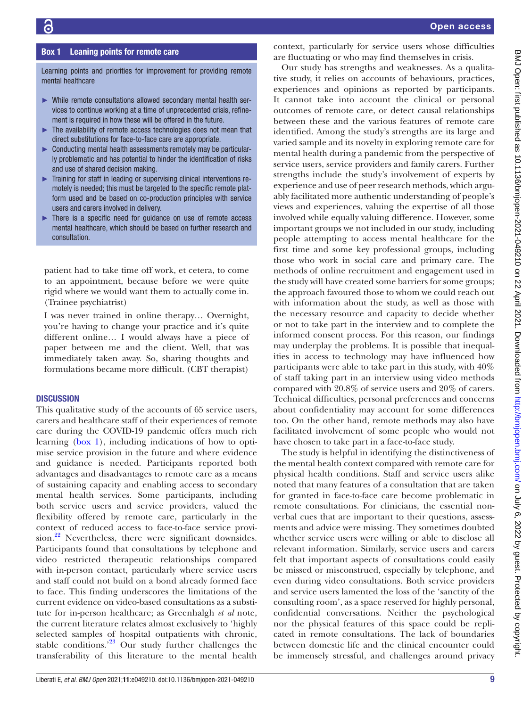#### Box 1 Leaning points for remote care

<span id="page-8-0"></span>Learning points and priorities for improvement for providing remote mental healthcare

- ► While remote consultations allowed secondary mental health services to continue working at a time of unprecedented crisis, refinement is required in how these will be offered in the future.
- ► The availability of remote access technologies does not mean that direct substitutions for face-to-face care are appropriate.
- ► Conducting mental health assessments remotely may be particularly problematic and has potential to hinder the identification of risks and use of shared decision making.
- ► Training for staff in leading or supervising clinical interventions remotely is needed; this must be targeted to the specific remote platform used and be based on co-production principles with service users and carers involved in delivery.
- ► There is a specific need for guidance on use of remote access mental healthcare, which should be based on further research and consultation.

patient had to take time off work, et cetera, to come to an appointment, because before we were quite rigid where we would want them to actually come in. (Trainee psychiatrist)

I was never trained in online therapy… Overnight, you're having to change your practice and it's quite different online… I would always have a piece of paper between me and the client. Well, that was immediately taken away. So, sharing thoughts and formulations became more difficult. (CBT therapist)

#### **DISCUSSION**

This qualitative study of the accounts of 65 service users, carers and healthcare staff of their experiences of remote care during the COVID-19 pandemic offers much rich learning ([box](#page-8-0) 1), including indications of how to optimise service provision in the future and where evidence and guidance is needed. Participants reported both advantages and disadvantages to remote care as a means of sustaining capacity and enabling access to secondary mental health services. Some participants, including both service users and service providers, valued the flexibility offered by remote care, particularly in the context of reduced access to face-to-face service provision.<sup>22</sup> Nevertheless, there were significant downsides. Participants found that consultations by telephone and video restricted therapeutic relationships compared with in-person contact, particularly where service users and staff could not build on a bond already formed face to face. This finding underscores the limitations of the current evidence on video-based consultations as a substitute for in-person healthcare; as Greenhalgh *et al* note, the current literature relates almost exclusively to 'highly selected samples of hospital outpatients with chronic, stable conditions.<sup>[23](#page-10-17)</sup> Our study further challenges the transferability of this literature to the mental health

context, particularly for service users whose difficulties are fluctuating or who may find themselves in crisis.

Our study has strengths and weaknesses. As a qualitative study, it relies on accounts of behaviours, practices, experiences and opinions as reported by participants. It cannot take into account the clinical or personal outcomes of remote care, or detect causal relationships between these and the various features of remote care identified. Among the study's strengths are its large and varied sample and its novelty in exploring remote care for mental health during a pandemic from the perspective of service users, service providers and family carers. Further strengths include the study's involvement of experts by experience and use of peer research methods, which arguably facilitated more authentic understanding of people's views and experiences, valuing the expertise of all those involved while equally valuing difference. However, some important groups we not included in our study, including people attempting to access mental healthcare for the first time and some key professional groups, including those who work in social care and primary care. The methods of online recruitment and engagement used in the study will have created some barriers for some groups; the approach favoured those to whom we could reach out with information about the study, as well as those with the necessary resource and capacity to decide whether or not to take part in the interview and to complete the informed consent process. For this reason, our findings may underplay the problems. It is possible that inequalities in access to technology may have influenced how participants were able to take part in this study, with 40% of staff taking part in an interview using video methods compared with 20.8% of service users and 20% of carers. Technical difficulties, personal preferences and concerns about confidentiality may account for some differences too. On the other hand, remote methods may also have facilitated involvement of some people who would not have chosen to take part in a face-to-face study.

The study is helpful in identifying the distinctiveness of the mental health context compared with remote care for physical health conditions. Staff and service users alike noted that many features of a consultation that are taken for granted in face-to-face care become problematic in remote consultations. For clinicians, the essential nonverbal cues that are important to their questions, assessments and advice were missing. They sometimes doubted whether service users were willing or able to disclose all relevant information. Similarly, service users and carers felt that important aspects of consultations could easily be missed or misconstrued, especially by telephone, and even during video consultations. Both service providers and service users lamented the loss of the 'sanctity of the consulting room', as a space reserved for highly personal, confidential conversations. Neither the psychological nor the physical features of this space could be replicated in remote consultations. The lack of boundaries between domestic life and the clinical encounter could be immensely stressful, and challenges around privacy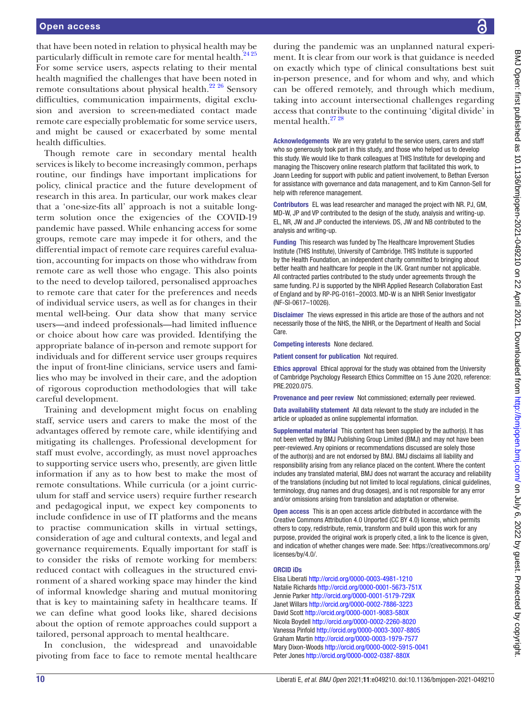that have been noted in relation to physical health may be particularly difficult in remote care for mental health.<sup>[24 25](#page-10-18)</sup> For some service users, aspects relating to their mental health magnified the challenges that have been noted in remote consultations about physical health.<sup>22 26</sup> Sensory difficulties, communication impairments, digital exclusion and aversion to screen-mediated contact made remote care especially problematic for some service users, and might be caused or exacerbated by some mental health difficulties.

Though remote care in secondary mental health services is likely to become increasingly common, perhaps routine, our findings have important implications for policy, clinical practice and the future development of research in this area. In particular, our work makes clear that a 'one-size-fits all' approach is not a suitable longterm solution once the exigencies of the COVID-19 pandemic have passed. While enhancing access for some groups, remote care may impede it for others, and the differential impact of remote care requires careful evaluation, accounting for impacts on those who withdraw from remote care as well those who engage. This also points to the need to develop tailored, personalised approaches to remote care that cater for the preferences and needs of individual service users, as well as for changes in their mental well-being. Our data show that many service users—and indeed professionals—had limited influence or choice about how care was provided. Identifying the appropriate balance of in-person and remote support for individuals and for different service user groups requires the input of front-line clinicians, service users and families who may be involved in their care, and the adoption of rigorous coproduction methodologies that will take careful development.

Training and development might focus on enabling staff, service users and carers to make the most of the advantages offered by remote care, while identifying and mitigating its challenges. Professional development for staff must evolve, accordingly, as must novel approaches to supporting service users who, presently, are given little information if any as to how best to make the most of remote consultations. While curricula (or a joint curriculum for staff and service users) require further research and pedagogical input, we expect key components to include confidence in use of IT platforms and the means to practise communication skills in virtual settings, consideration of age and cultural contexts, and legal and governance requirements. Equally important for staff is to consider the risks of remote working for members: reduced contact with colleagues in the structured environment of a shared working space may hinder the kind of informal knowledge sharing and mutual monitoring that is key to maintaining safety in healthcare teams. If we can define what good looks like, shared decisions about the option of remote approaches could support a tailored, personal approach to mental healthcare.

In conclusion, the widespread and unavoidable pivoting from face to face to remote mental healthcare

during the pandemic was an unplanned natural experiment. It is clear from our work is that guidance is needed on exactly which type of clinical consultations best suit in-person presence, and for whom and why, and which can be offered remotely, and through which medium, taking into account intersectional challenges regarding access that contribute to the continuing 'digital divide' in mental health.<sup>27</sup> 28

Acknowledgements We are very grateful to the service users, carers and staff who so generously took part in this study, and those who helped us to develop this study. We would like to thank colleagues at THIS Institute for developing and managing the Thiscovery online research platform that facilitated this work, to Joann Leeding for support with public and patient involvement, to Bethan Everson for assistance with governance and data management, and to Kim Cannon-Sell for help with reference management.

Contributors EL was lead researcher and managed the project with NR. PJ, GM, MD-W, JP and VP contributed to the design of the study, analysis and writing-up. EL, NR, JW and JP conducted the interviews. DS, JW and NB contributed to the analysis and writing-up.

Funding This research was funded by The Healthcare Improvement Studies Institute (THIS Institute), University of Cambridge. THIS Institute is supported by the Health Foundation, an independent charity committed to bringing about better health and healthcare for people in the UK. Grant number not applicable. All contracted parties contributed to the study under agreements through the same funding. PJ is supported by the NIHR Applied Research Collaboration East of England and by RP-PG-0161–20003. MD-W is an NIHR Senior Investigator (NF-SI-0617–10026).

Disclaimer The views expressed in this article are those of the authors and not necessarily those of the NHS, the NIHR, or the Department of Health and Social Care.

Competing interests None declared.

Patient consent for publication Not required.

Ethics approval Ethical approval for the study was obtained from the University of Cambridge Psychology Research Ethics Committee on 15 June 2020, reference: PRE.2020.075.

Provenance and peer review Not commissioned; externally peer reviewed.

Data availability statement All data relevant to the study are included in the article or uploaded as online supplemental information.

Supplemental material This content has been supplied by the author(s). It has not been vetted by BMJ Publishing Group Limited (BMJ) and may not have been peer-reviewed. Any opinions or recommendations discussed are solely those of the author(s) and are not endorsed by BMJ. BMJ disclaims all liability and responsibility arising from any reliance placed on the content. Where the content includes any translated material, BMJ does not warrant the accuracy and reliability of the translations (including but not limited to local regulations, clinical guidelines, terminology, drug names and drug dosages), and is not responsible for any error and/or omissions arising from translation and adaptation or otherwise.

Open access This is an open access article distributed in accordance with the Creative Commons Attribution 4.0 Unported (CC BY 4.0) license, which permits others to copy, redistribute, remix, transform and build upon this work for any purpose, provided the original work is properly cited, a link to the licence is given, and indication of whether changes were made. See: [https://creativecommons.org/](https://creativecommons.org/licenses/by/4.0/) [licenses/by/4.0/](https://creativecommons.org/licenses/by/4.0/).

#### ORCID iDs

Elisa Liberati <http://orcid.org/0000-0003-4981-1210> Natalie Richards<http://orcid.org/0000-0001-5673-751X> Jennie Parker<http://orcid.org/0000-0001-5179-729X> Janet Willars <http://orcid.org/0000-0002-7886-3223> David Scott<http://orcid.org/0000-0001-9083-580X> Nicola Boydell <http://orcid.org/0000-0002-2260-8020> Vanessa Pinfold<http://orcid.org/0000-0003-3007-8805> Graham Martin <http://orcid.org/0000-0003-1979-7577> Mary Dixon-Woods <http://orcid.org/0000-0002-5915-0041> Peter Jones<http://orcid.org/0000-0002-0387-880X>